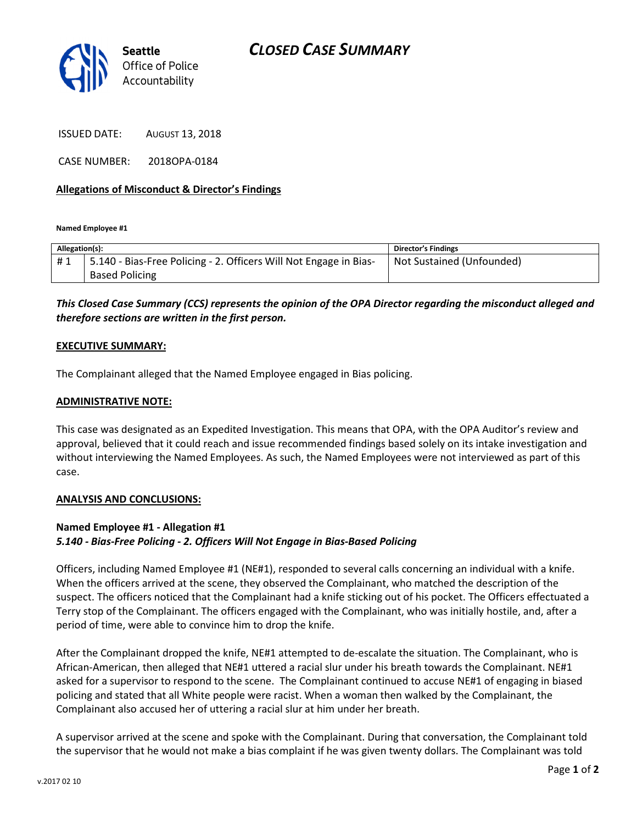

ISSUED DATE: AUGUST 13, 2018

CASE NUMBER: 2018OPA-0184

## Allegations of Misconduct & Director's Findings

Named Employee #1

| Allegation(s): |                                                                   | <b>Director's Findings</b> |
|----------------|-------------------------------------------------------------------|----------------------------|
| #1             | 5.140 - Bias-Free Policing - 2. Officers Will Not Engage in Bias- | Not Sustained (Unfounded)  |
|                | <b>Based Policing</b>                                             |                            |

# This Closed Case Summary (CCS) represents the opinion of the OPA Director regarding the misconduct alleged and therefore sections are written in the first person.

#### EXECUTIVE SUMMARY:

The Complainant alleged that the Named Employee engaged in Bias policing.

#### ADMINISTRATIVE NOTE:

This case was designated as an Expedited Investigation. This means that OPA, with the OPA Auditor's review and approval, believed that it could reach and issue recommended findings based solely on its intake investigation and without interviewing the Named Employees. As such, the Named Employees were not interviewed as part of this case.

#### ANALYSIS AND CONCLUSIONS:

## Named Employee #1 - Allegation #1 5.140 - Bias-Free Policing - 2. Officers Will Not Engage in Bias-Based Policing

Officers, including Named Employee #1 (NE#1), responded to several calls concerning an individual with a knife. When the officers arrived at the scene, they observed the Complainant, who matched the description of the suspect. The officers noticed that the Complainant had a knife sticking out of his pocket. The Officers effectuated a Terry stop of the Complainant. The officers engaged with the Complainant, who was initially hostile, and, after a period of time, were able to convince him to drop the knife.

After the Complainant dropped the knife, NE#1 attempted to de-escalate the situation. The Complainant, who is African-American, then alleged that NE#1 uttered a racial slur under his breath towards the Complainant. NE#1 asked for a supervisor to respond to the scene. The Complainant continued to accuse NE#1 of engaging in biased policing and stated that all White people were racist. When a woman then walked by the Complainant, the Complainant also accused her of uttering a racial slur at him under her breath.

A supervisor arrived at the scene and spoke with the Complainant. During that conversation, the Complainant told the supervisor that he would not make a bias complaint if he was given twenty dollars. The Complainant was told